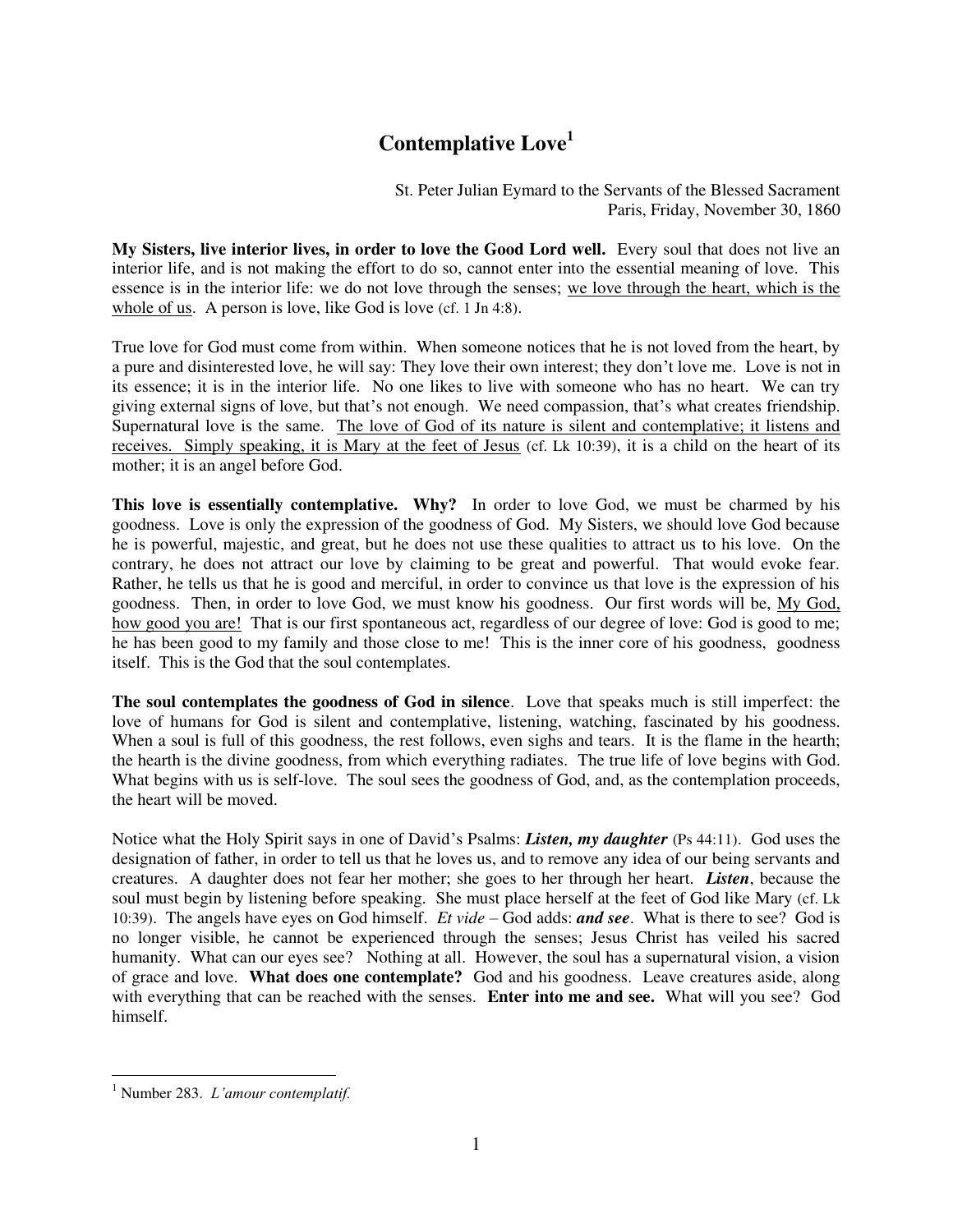## **Contemplative Love<sup>1</sup>**

St. Peter Julian Eymard to the Servants of the Blessed Sacrament Paris, Friday, November 30, 1860

**My Sisters, live interior lives, in order to love the Good Lord well.** Every soul that does not live an interior life, and is not making the effort to do so, cannot enter into the essential meaning of love. This essence is in the interior life: we do not love through the senses; we love through the heart, which is the whole of us. A person is love, like God is love (cf. 1 Jn 4:8).

True love for God must come from within. When someone notices that he is not loved from the heart, by a pure and disinterested love, he will say: They love their own interest; they don't love me. Love is not in its essence; it is in the interior life. No one likes to live with someone who has no heart. We can try giving external signs of love, but that's not enough. We need compassion, that's what creates friendship. Supernatural love is the same. The love of God of its nature is silent and contemplative; it listens and receives. Simply speaking, it is Mary at the feet of Jesus (cf. Lk 10:39), it is a child on the heart of its mother; it is an angel before God.

**This love is essentially contemplative. Why?** In order to love God, we must be charmed by his goodness. Love is only the expression of the goodness of God. My Sisters, we should love God because he is powerful, majestic, and great, but he does not use these qualities to attract us to his love. On the contrary, he does not attract our love by claiming to be great and powerful. That would evoke fear. Rather, he tells us that he is good and merciful, in order to convince us that love is the expression of his goodness. Then, in order to love God, we must know his goodness. Our first words will be, My God, how good you are! That is our first spontaneous act, regardless of our degree of love: God is good to me; he has been good to my family and those close to me! This is the inner core of his goodness, goodness itself. This is the God that the soul contemplates.

**The soul contemplates the goodness of God in silence**. Love that speaks much is still imperfect: the love of humans for God is silent and contemplative, listening, watching, fascinated by his goodness. When a soul is full of this goodness, the rest follows, even sighs and tears. It is the flame in the hearth; the hearth is the divine goodness, from which everything radiates. The true life of love begins with God. What begins with us is self-love. The soul sees the goodness of God, and, as the contemplation proceeds, the heart will be moved.

Notice what the Holy Spirit says in one of David's Psalms: *Listen, my daughter* (Ps 44:11). God uses the designation of father, in order to tell us that he loves us, and to remove any idea of our being servants and creatures. A daughter does not fear her mother; she goes to her through her heart. *Listen*, because the soul must begin by listening before speaking. She must place herself at the feet of God like Mary (cf. Lk 10:39). The angels have eyes on God himself. *Et vide* – God adds: *and see*. What is there to see? God is no longer visible, he cannot be experienced through the senses; Jesus Christ has veiled his sacred humanity. What can our eyes see? Nothing at all. However, the soul has a supernatural vision, a vision of grace and love. **What does one contemplate?** God and his goodness. Leave creatures aside, along with everything that can be reached with the senses. **Enter into me and see.** What will you see? God himself.

 1 Number 283. *L'amour contemplatif.*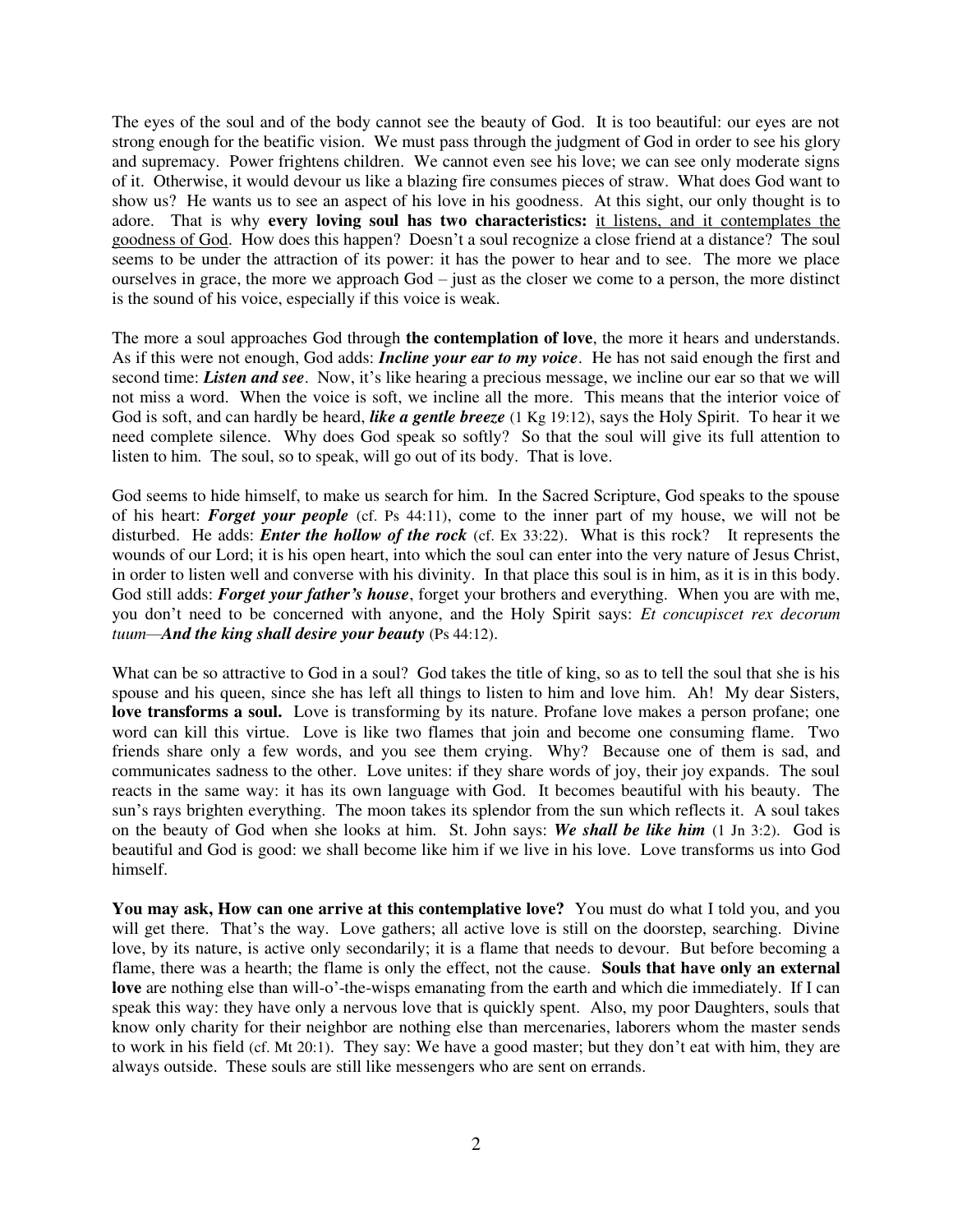The eyes of the soul and of the body cannot see the beauty of God. It is too beautiful: our eyes are not strong enough for the beatific vision. We must pass through the judgment of God in order to see his glory and supremacy. Power frightens children. We cannot even see his love; we can see only moderate signs of it. Otherwise, it would devour us like a blazing fire consumes pieces of straw. What does God want to show us? He wants us to see an aspect of his love in his goodness. At this sight, our only thought is to adore. That is why **every loving soul has two characteristics:** it listens, and it contemplates the goodness of God. How does this happen? Doesn't a soul recognize a close friend at a distance? The soul seems to be under the attraction of its power: it has the power to hear and to see. The more we place ourselves in grace, the more we approach God – just as the closer we come to a person, the more distinct is the sound of his voice, especially if this voice is weak.

The more a soul approaches God through **the contemplation of love**, the more it hears and understands. As if this were not enough, God adds: *Incline your ear to my voice*. He has not said enough the first and second time: *Listen and see*. Now, it's like hearing a precious message, we incline our ear so that we will not miss a word. When the voice is soft, we incline all the more. This means that the interior voice of God is soft, and can hardly be heard, *like a gentle breeze* (1 Kg 19:12), says the Holy Spirit. To hear it we need complete silence. Why does God speak so softly? So that the soul will give its full attention to listen to him. The soul, so to speak, will go out of its body. That is love.

God seems to hide himself, to make us search for him. In the Sacred Scripture, God speaks to the spouse of his heart: *Forget your people* (cf. Ps 44:11), come to the inner part of my house, we will not be disturbed. He adds: *Enter the hollow of the rock* (cf. Ex 33:22). What is this rock? It represents the wounds of our Lord; it is his open heart, into which the soul can enter into the very nature of Jesus Christ, in order to listen well and converse with his divinity. In that place this soul is in him, as it is in this body. God still adds: *Forget your father's house*, forget your brothers and everything. When you are with me, you don't need to be concerned with anyone, and the Holy Spirit says: *Et concupiscet rex decorum tuum—And the king shall desire your beauty* (Ps 44:12).

What can be so attractive to God in a soul? God takes the title of king, so as to tell the soul that she is his spouse and his queen, since she has left all things to listen to him and love him. Ah! My dear Sisters, **love transforms a soul.** Love is transforming by its nature. Profane love makes a person profane; one word can kill this virtue. Love is like two flames that join and become one consuming flame. Two friends share only a few words, and you see them crying. Why? Because one of them is sad, and communicates sadness to the other. Love unites: if they share words of joy, their joy expands. The soul reacts in the same way: it has its own language with God. It becomes beautiful with his beauty. The sun's rays brighten everything. The moon takes its splendor from the sun which reflects it. A soul takes on the beauty of God when she looks at him. St. John says: *We shall be like him* (1 Jn 3:2). God is beautiful and God is good: we shall become like him if we live in his love. Love transforms us into God himself.

**You may ask, How can one arrive at this contemplative love?** You must do what I told you, and you will get there. That's the way. Love gathers; all active love is still on the doorstep, searching. Divine love, by its nature, is active only secondarily; it is a flame that needs to devour. But before becoming a flame, there was a hearth; the flame is only the effect, not the cause. **Souls that have only an external love** are nothing else than will-o'-the-wisps emanating from the earth and which die immediately. If I can speak this way: they have only a nervous love that is quickly spent. Also, my poor Daughters, souls that know only charity for their neighbor are nothing else than mercenaries, laborers whom the master sends to work in his field (cf. Mt 20:1). They say: We have a good master; but they don't eat with him, they are always outside. These souls are still like messengers who are sent on errands.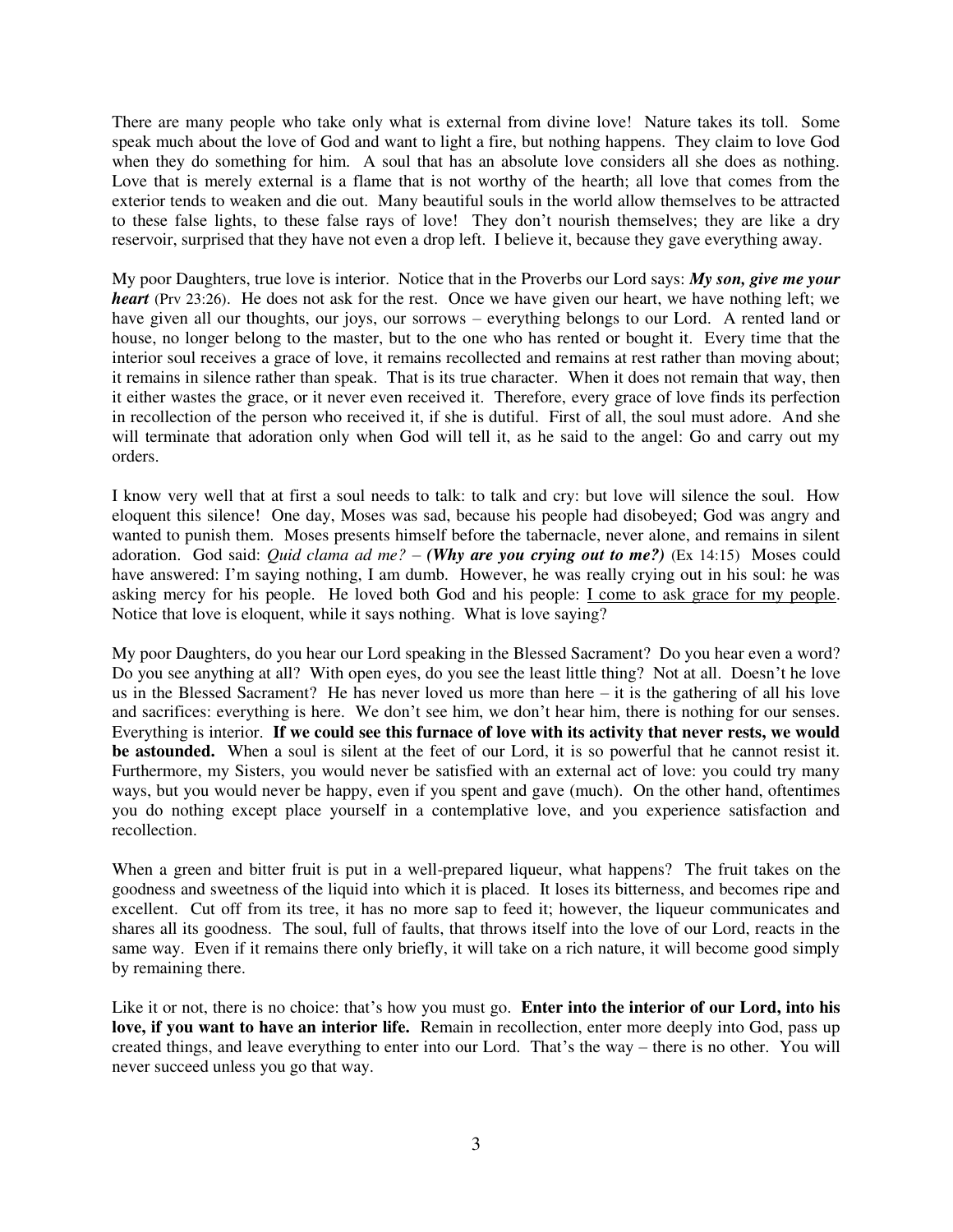There are many people who take only what is external from divine love! Nature takes its toll. Some speak much about the love of God and want to light a fire, but nothing happens. They claim to love God when they do something for him. A soul that has an absolute love considers all she does as nothing. Love that is merely external is a flame that is not worthy of the hearth; all love that comes from the exterior tends to weaken and die out. Many beautiful souls in the world allow themselves to be attracted to these false lights, to these false rays of love! They don't nourish themselves; they are like a dry reservoir, surprised that they have not even a drop left. I believe it, because they gave everything away.

My poor Daughters, true love is interior. Notice that in the Proverbs our Lord says: *My son, give me your heart* (Prv 23:26). He does not ask for the rest. Once we have given our heart, we have nothing left; we have given all our thoughts, our joys, our sorrows – everything belongs to our Lord. A rented land or house, no longer belong to the master, but to the one who has rented or bought it. Every time that the interior soul receives a grace of love, it remains recollected and remains at rest rather than moving about; it remains in silence rather than speak. That is its true character. When it does not remain that way, then it either wastes the grace, or it never even received it. Therefore, every grace of love finds its perfection in recollection of the person who received it, if she is dutiful. First of all, the soul must adore. And she will terminate that adoration only when God will tell it, as he said to the angel: Go and carry out my orders.

I know very well that at first a soul needs to talk: to talk and cry: but love will silence the soul. How eloquent this silence! One day, Moses was sad, because his people had disobeyed; God was angry and wanted to punish them. Moses presents himself before the tabernacle, never alone, and remains in silent adoration. God said: *Quid clama ad me?* – *(Why are you crying out to me?)* (Ex 14:15) Moses could have answered: I'm saying nothing, I am dumb. However, he was really crying out in his soul: he was asking mercy for his people. He loved both God and his people: I come to ask grace for my people. Notice that love is eloquent, while it says nothing. What is love saying?

My poor Daughters, do you hear our Lord speaking in the Blessed Sacrament? Do you hear even a word? Do you see anything at all? With open eyes, do you see the least little thing? Not at all. Doesn't he love us in the Blessed Sacrament? He has never loved us more than here – it is the gathering of all his love and sacrifices: everything is here. We don't see him, we don't hear him, there is nothing for our senses. Everything is interior. **If we could see this furnace of love with its activity that never rests, we would be astounded.** When a soul is silent at the feet of our Lord, it is so powerful that he cannot resist it. Furthermore, my Sisters, you would never be satisfied with an external act of love: you could try many ways, but you would never be happy, even if you spent and gave (much). On the other hand, oftentimes you do nothing except place yourself in a contemplative love, and you experience satisfaction and recollection.

When a green and bitter fruit is put in a well-prepared liqueur, what happens? The fruit takes on the goodness and sweetness of the liquid into which it is placed. It loses its bitterness, and becomes ripe and excellent. Cut off from its tree, it has no more sap to feed it; however, the liqueur communicates and shares all its goodness. The soul, full of faults, that throws itself into the love of our Lord, reacts in the same way. Even if it remains there only briefly, it will take on a rich nature, it will become good simply by remaining there.

Like it or not, there is no choice: that's how you must go. **Enter into the interior of our Lord, into his love, if you want to have an interior life.** Remain in recollection, enter more deeply into God, pass up created things, and leave everything to enter into our Lord. That's the way – there is no other. You will never succeed unless you go that way.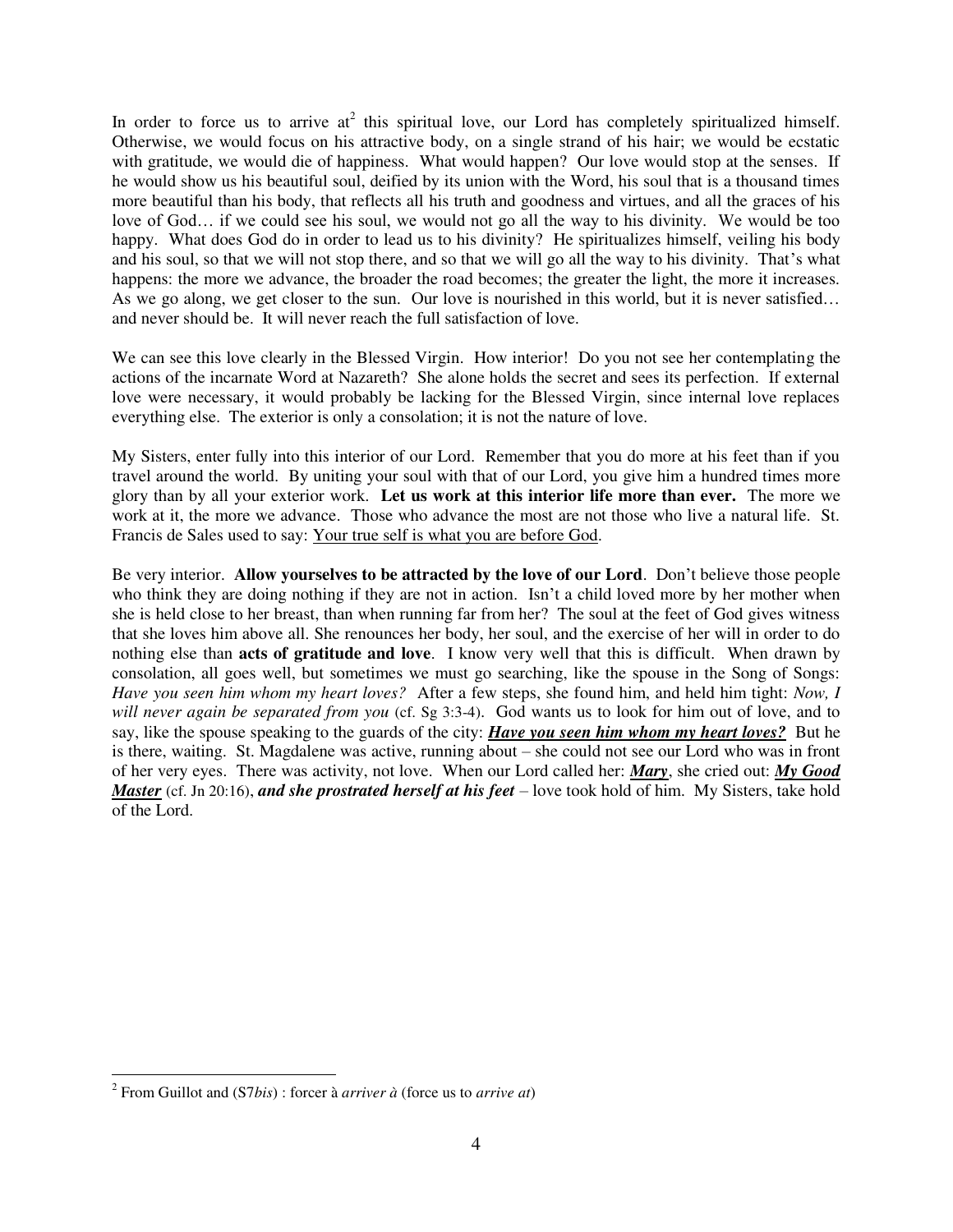In order to force us to arrive  $at^2$  this spiritual love, our Lord has completely spiritualized himself. Otherwise, we would focus on his attractive body, on a single strand of his hair; we would be ecstatic with gratitude, we would die of happiness. What would happen? Our love would stop at the senses. If he would show us his beautiful soul, deified by its union with the Word, his soul that is a thousand times more beautiful than his body, that reflects all his truth and goodness and virtues, and all the graces of his love of God… if we could see his soul, we would not go all the way to his divinity. We would be too happy. What does God do in order to lead us to his divinity? He spiritualizes himself, veiling his body and his soul, so that we will not stop there, and so that we will go all the way to his divinity. That's what happens: the more we advance, the broader the road becomes; the greater the light, the more it increases. As we go along, we get closer to the sun. Our love is nourished in this world, but it is never satisfied… and never should be. It will never reach the full satisfaction of love.

We can see this love clearly in the Blessed Virgin. How interior! Do you not see her contemplating the actions of the incarnate Word at Nazareth? She alone holds the secret and sees its perfection. If external love were necessary, it would probably be lacking for the Blessed Virgin, since internal love replaces everything else. The exterior is only a consolation; it is not the nature of love.

My Sisters, enter fully into this interior of our Lord. Remember that you do more at his feet than if you travel around the world. By uniting your soul with that of our Lord, you give him a hundred times more glory than by all your exterior work. **Let us work at this interior life more than ever.** The more we work at it, the more we advance. Those who advance the most are not those who live a natural life. St. Francis de Sales used to say: Your true self is what you are before God.

Be very interior. **Allow yourselves to be attracted by the love of our Lord**. Don't believe those people who think they are doing nothing if they are not in action. Isn't a child loved more by her mother when she is held close to her breast, than when running far from her? The soul at the feet of God gives witness that she loves him above all. She renounces her body, her soul, and the exercise of her will in order to do nothing else than **acts of gratitude and love**. I know very well that this is difficult. When drawn by consolation, all goes well, but sometimes we must go searching, like the spouse in the Song of Songs: *Have you seen him whom my heart loves?* After a few steps, she found him, and held him tight: *Now, I will never again be separated from you* (cf. Sg 3:3-4). God wants us to look for him out of love, and to say, like the spouse speaking to the guards of the city: *Have you seen him whom my heart loves?* But he is there, waiting. St. Magdalene was active, running about – she could not see our Lord who was in front of her very eyes. There was activity, not love. When our Lord called her: *Mary*, she cried out: *My Good Master* (cf. Jn 20:16), *and she prostrated herself at his feet* – love took hold of him. My Sisters, take hold of the Lord.

 2 From Guillot and (S7*bis*) : forcer à *arriver à* (force us to *arrive at*)